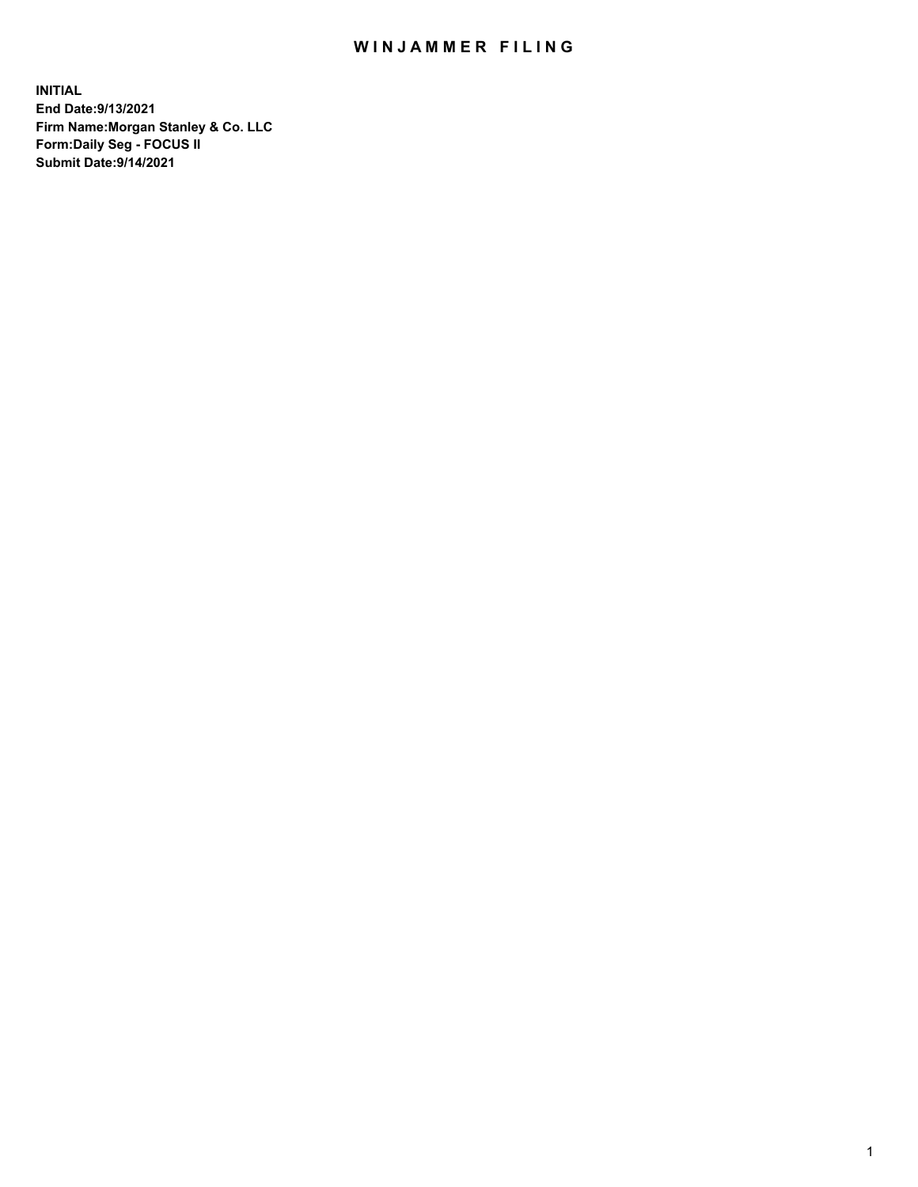## WIN JAMMER FILING

**INITIAL End Date:9/13/2021 Firm Name:Morgan Stanley & Co. LLC Form:Daily Seg - FOCUS II Submit Date:9/14/2021**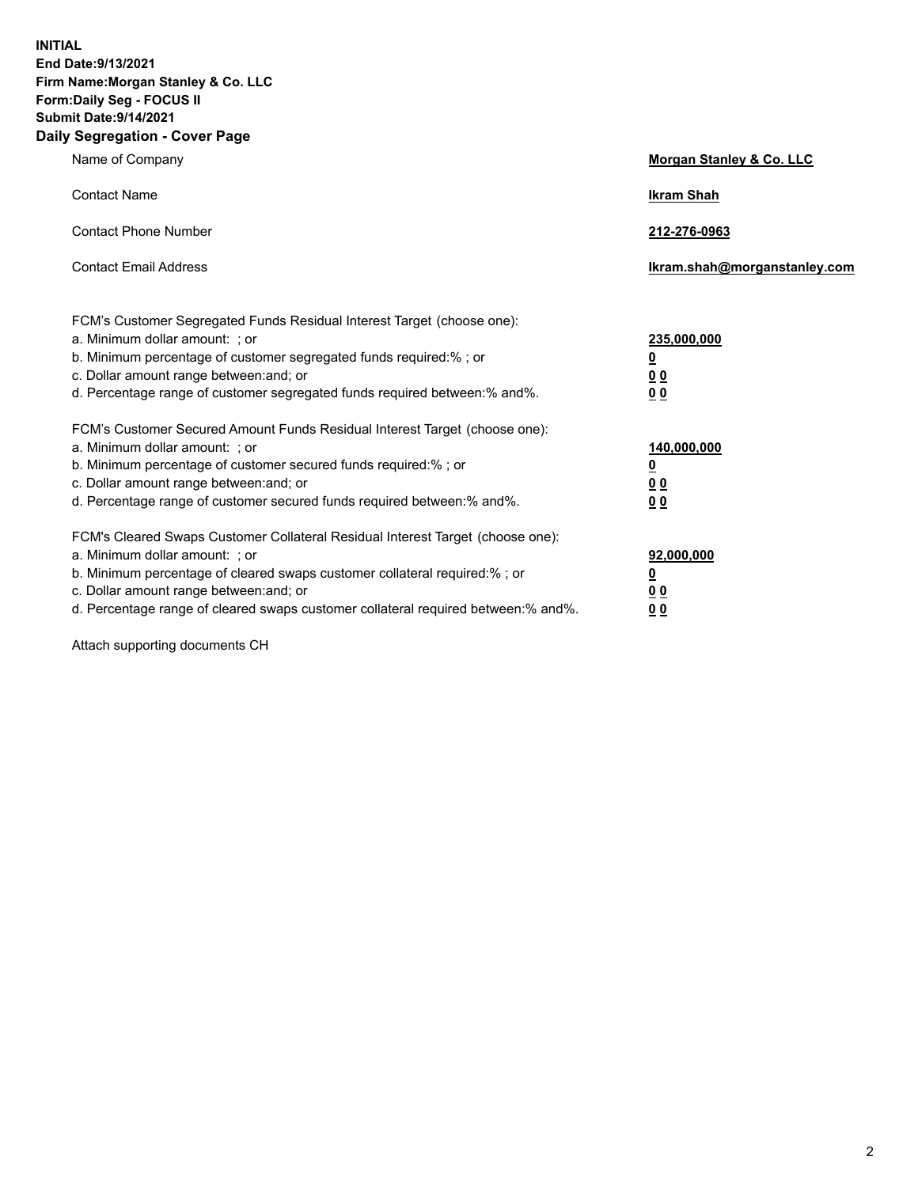**INITIAL End Date:9/13/2021 Firm Name:Morgan Stanley & Co. LLC Form:Daily Seg - FOCUS II Submit Date:9/14/2021 Daily Segregation - Cover Page**

| Name of Company                                                                                                                                                                                                                                                                                                               | Morgan Stanley & Co. LLC                                    |
|-------------------------------------------------------------------------------------------------------------------------------------------------------------------------------------------------------------------------------------------------------------------------------------------------------------------------------|-------------------------------------------------------------|
| <b>Contact Name</b>                                                                                                                                                                                                                                                                                                           | <b>Ikram Shah</b>                                           |
| <b>Contact Phone Number</b>                                                                                                                                                                                                                                                                                                   | 212-276-0963                                                |
| <b>Contact Email Address</b>                                                                                                                                                                                                                                                                                                  | Ikram.shah@morganstanley.com                                |
| FCM's Customer Segregated Funds Residual Interest Target (choose one):<br>a. Minimum dollar amount: ; or<br>b. Minimum percentage of customer segregated funds required:% ; or<br>c. Dollar amount range between: and; or<br>d. Percentage range of customer segregated funds required between:% and%.                        | 235,000,000<br><u>0</u><br>0 <sub>0</sub><br>00             |
| FCM's Customer Secured Amount Funds Residual Interest Target (choose one):<br>a. Minimum dollar amount: ; or<br>b. Minimum percentage of customer secured funds required:%; or<br>c. Dollar amount range between: and; or<br>d. Percentage range of customer secured funds required between:% and%.                           | 140,000,000<br><u>0</u><br>0 <sub>0</sub><br>0 <sub>0</sub> |
| FCM's Cleared Swaps Customer Collateral Residual Interest Target (choose one):<br>a. Minimum dollar amount: ; or<br>b. Minimum percentage of cleared swaps customer collateral required:%; or<br>c. Dollar amount range between: and; or<br>d. Percentage range of cleared swaps customer collateral required between:% and%. | 92,000,000<br><u>0</u><br><u>0 0</u><br>0 <sub>0</sub>      |

Attach supporting documents CH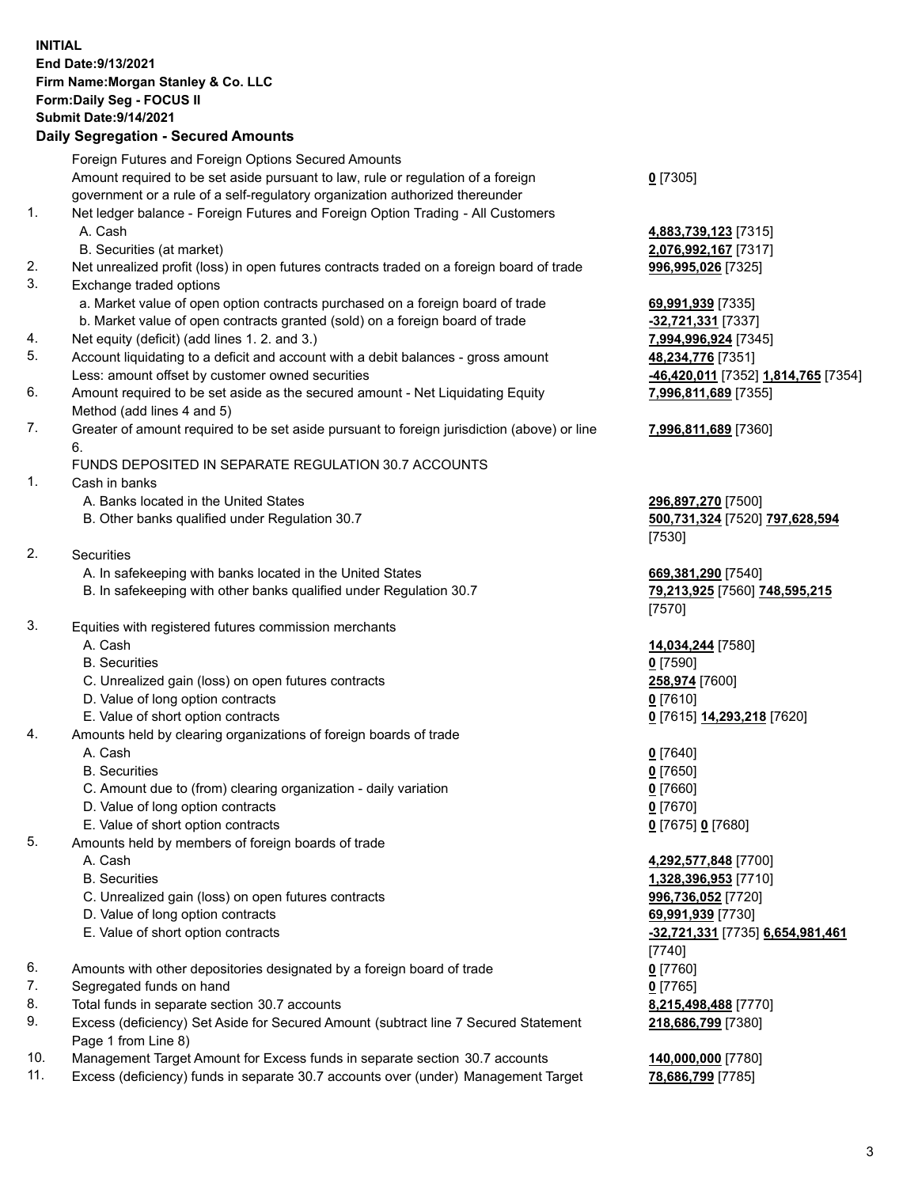## **INITIAL End Date:9/13/2021 Firm Name:Morgan Stanley & Co. LLC Form:Daily Seg - FOCUS II Submit Date:9/14/2021**

## **Daily Segregation - Secured Amounts**

|    | Foreign Futures and Foreign Options Secured Amounts<br>Amount required to be set aside pursuant to law, rule or regulation of a foreign                         | $0$ [7305]                                   |
|----|-----------------------------------------------------------------------------------------------------------------------------------------------------------------|----------------------------------------------|
| 1. | government or a rule of a self-regulatory organization authorized thereunder<br>Net ledger balance - Foreign Futures and Foreign Option Trading - All Customers |                                              |
|    | A. Cash<br>B. Securities (at market)                                                                                                                            | 4,883,739,123 [7315]<br>2,076,992,167 [7317] |
| 2. | Net unrealized profit (loss) in open futures contracts traded on a foreign board of trade                                                                       | 996,995,026 [7325]                           |
| 3. | Exchange traded options<br>a. Market value of open option contracts purchased on a foreign board of trade                                                       | 69,991,939 [7335]                            |
|    | b. Market value of open contracts granted (sold) on a foreign board of trade                                                                                    | -32,721,331 [7337]                           |
| 4. | Net equity (deficit) (add lines 1. 2. and 3.)                                                                                                                   | 7,994,996,924 [7345]                         |
| 5. | Account liquidating to a deficit and account with a debit balances - gross amount                                                                               | 48,234,776 [7351]                            |
|    | Less: amount offset by customer owned securities                                                                                                                | -46,420,011 [7352] 1,                        |
| 6. | Amount required to be set aside as the secured amount - Net Liquidating Equity                                                                                  | 7,996,811,689 [7355]                         |
|    | Method (add lines 4 and 5)                                                                                                                                      |                                              |
| 7. | Greater of amount required to be set aside pursuant to foreign jurisdiction (above) or line<br>6.                                                               | 7,996,811,689 [7360]                         |
|    | FUNDS DEPOSITED IN SEPARATE REGULATION 30.7 ACCOUNTS                                                                                                            |                                              |
| 1. | Cash in banks                                                                                                                                                   |                                              |
|    | A. Banks located in the United States                                                                                                                           | 296,897,270 [7500]                           |
|    | B. Other banks qualified under Regulation 30.7                                                                                                                  | 500,731,324 [7520] 7<br>[7530]               |
| 2. | <b>Securities</b>                                                                                                                                               |                                              |
|    | A. In safekeeping with banks located in the United States                                                                                                       | 669,381,290 [7540]                           |
|    | B. In safekeeping with other banks qualified under Regulation 30.7                                                                                              | <u>79,213,925</u> [7560] 74<br>[7570]        |
| 3. | Equities with registered futures commission merchants                                                                                                           |                                              |
|    | A. Cash                                                                                                                                                         | 14,034,244 [7580]                            |
|    | <b>B.</b> Securities                                                                                                                                            | $0$ [7590]                                   |
|    | C. Unrealized gain (loss) on open futures contracts                                                                                                             | 258,974 [7600]                               |
|    | D. Value of long option contracts                                                                                                                               | $0$ [7610]                                   |
|    | E. Value of short option contracts                                                                                                                              | 0 [7615] 14,293,218 [                        |
| 4. | Amounts held by clearing organizations of foreign boards of trade                                                                                               |                                              |
|    | A. Cash                                                                                                                                                         | $0$ [7640]                                   |
|    | <b>B.</b> Securities                                                                                                                                            | $0$ [7650]                                   |
|    | C. Amount due to (from) clearing organization - daily variation                                                                                                 | $0$ [7660]                                   |
|    | D. Value of long option contracts                                                                                                                               | $0$ [7670]                                   |
|    | E. Value of short option contracts                                                                                                                              | 0 [7675] 0 [7680]                            |
| 5. | Amounts held by members of foreign boards of trade                                                                                                              |                                              |
|    | A. Cash                                                                                                                                                         | 4,292,577,848 [7700]                         |
|    | <b>B.</b> Securities                                                                                                                                            | 1,328,396,953 [7710]                         |
|    | C. Unrealized gain (loss) on open futures contracts                                                                                                             | 996,736,052 [7720]                           |
|    | D. Value of long option contracts                                                                                                                               | 69,991,939 [7730]                            |
|    | E. Value of short option contracts                                                                                                                              | <mark>-32,721,331</mark> [7735] 6.           |
|    |                                                                                                                                                                 | $[7740]$                                     |
| 6. | Amounts with other depositories designated by a foreign board of trade                                                                                          | $0$ [7760]                                   |
| 7. | Segregated funds on hand                                                                                                                                        | $0$ [7765]                                   |
| 8. | Total funds in separate section 30.7 accounts                                                                                                                   | 8,215,498,488 [7770]                         |
| 9. | Excess (deficiency) Set Aside for Secured Amount (subtract line 7 Secured Statement<br>Page 1 from Line 8)                                                      | 218,686,799 [7380]                           |

- 10. Management Target Amount for Excess funds in separate section 30.7 accounts **140,000,000** [7780]
- 11. Excess (deficiency) funds in separate 30.7 accounts over (under) Management Target 78,686,799 [7785]

Less: amount offset by customer owned securities **-46,420,011** [7352] **1,814,765** [7354] **9** [7355]

## **9** [7360]

B. Other banks qualified under Regulation 30.7 **500,731,324** [7520] **797,628,594**

860] **748,595,215** 

E. Value of short option contracts **0** [7615] **14,293,218** [7620]

 E. Value of short option contracts **-32,721,331** [7735] **6,654,981,461 218,686,799** [7380]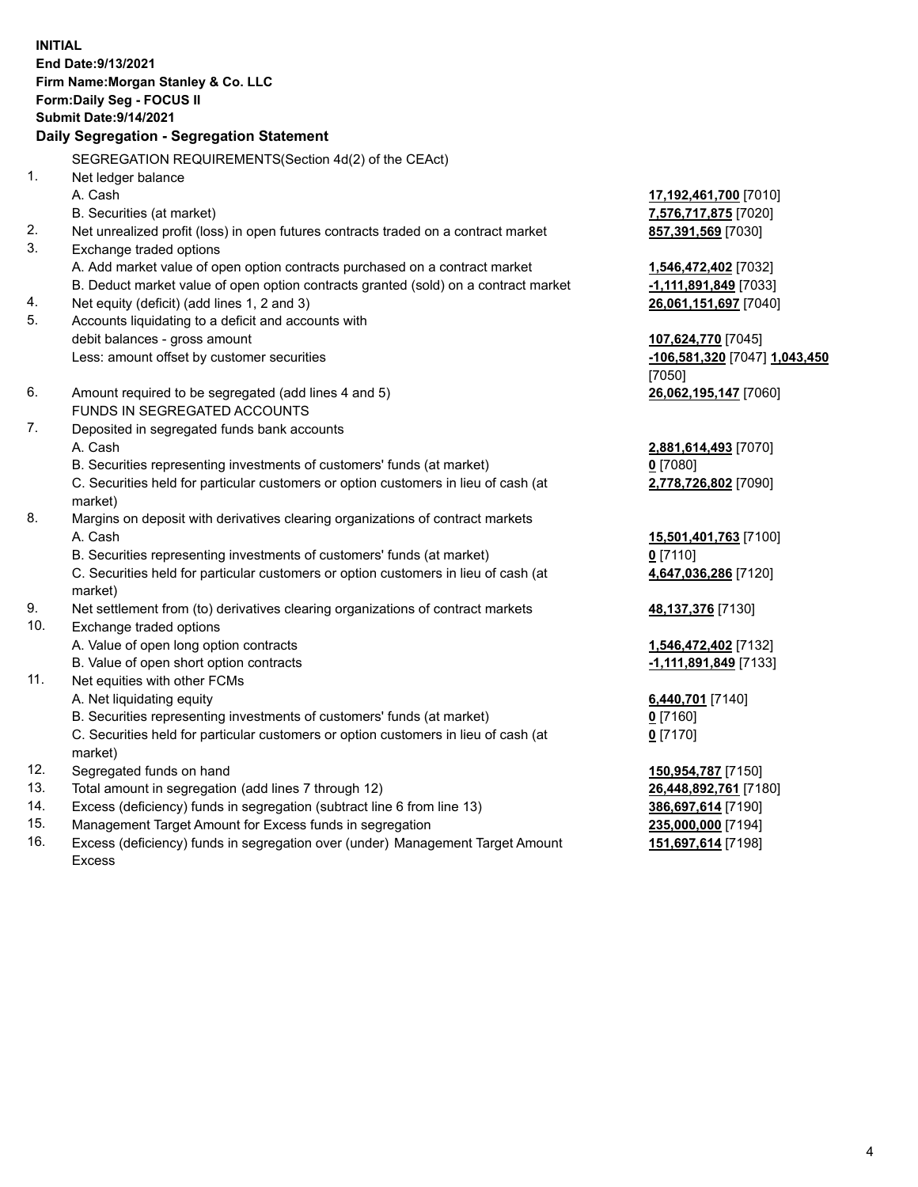**INITIAL End Date:9/13/2021 Firm Name:Morgan Stanley & Co. LLC Form:Daily Seg - FOCUS II Submit Date:9/14/2021 Daily Segregation - Segregation Statement** SEGREGATION REQUIREMENTS(Section 4d(2) of the CEAct) 1. Net ledger balance A. Cash **17,192,461,700** [7010] B. Securities (at market) **7,576,717,875** [7020] 2. Net unrealized profit (loss) in open futures contracts traded on a contract market **857,391,569** [7030] 3. Exchange traded options A. Add market value of open option contracts purchased on a contract market **1,546,472,402** [7032] B. Deduct market value of open option contracts granted (sold) on a contract market **-1,111,891,849** [7033] 4. Net equity (deficit) (add lines 1, 2 and 3) **26,061,151,697** [7040] 5. Accounts liquidating to a deficit and accounts with debit balances - gross amount **107,624,770** [7045] Less: amount offset by customer securities **-106,581,320** [7047] **1,043,450** [7050] 6. Amount required to be segregated (add lines 4 and 5) **26,062,195,147** [7060] FUNDS IN SEGREGATED ACCOUNTS 7. Deposited in segregated funds bank accounts A. Cash **2,881,614,493** [7070] B. Securities representing investments of customers' funds (at market) **0** [7080] C. Securities held for particular customers or option customers in lieu of cash (at market) **2,778,726,802** [7090] 8. Margins on deposit with derivatives clearing organizations of contract markets A. Cash **15,501,401,763** [7100] B. Securities representing investments of customers' funds (at market) **0** [7110] C. Securities held for particular customers or option customers in lieu of cash (at market) **4,647,036,286** [7120] 9. Net settlement from (to) derivatives clearing organizations of contract markets **48,137,376** [7130] 10. Exchange traded options A. Value of open long option contracts **1,546,472,402** [7132] B. Value of open short option contracts **-1,111,891,849** [7133] 11. Net equities with other FCMs A. Net liquidating equity **6,440,701** [7140] B. Securities representing investments of customers' funds (at market) **0** [7160] C. Securities held for particular customers or option customers in lieu of cash (at market) **0** [7170] 12. Segregated funds on hand **150,954,787** [7150] 13. Total amount in segregation (add lines 7 through 12) **26,448,892,761** [7180] 14. Excess (deficiency) funds in segregation (subtract line 6 from line 13) **386,697,614** [7190] 15. Management Target Amount for Excess funds in segregation **235,000,000** [7194]

16. Excess (deficiency) funds in segregation over (under) Management Target Amount Excess

**151,697,614** [7198]